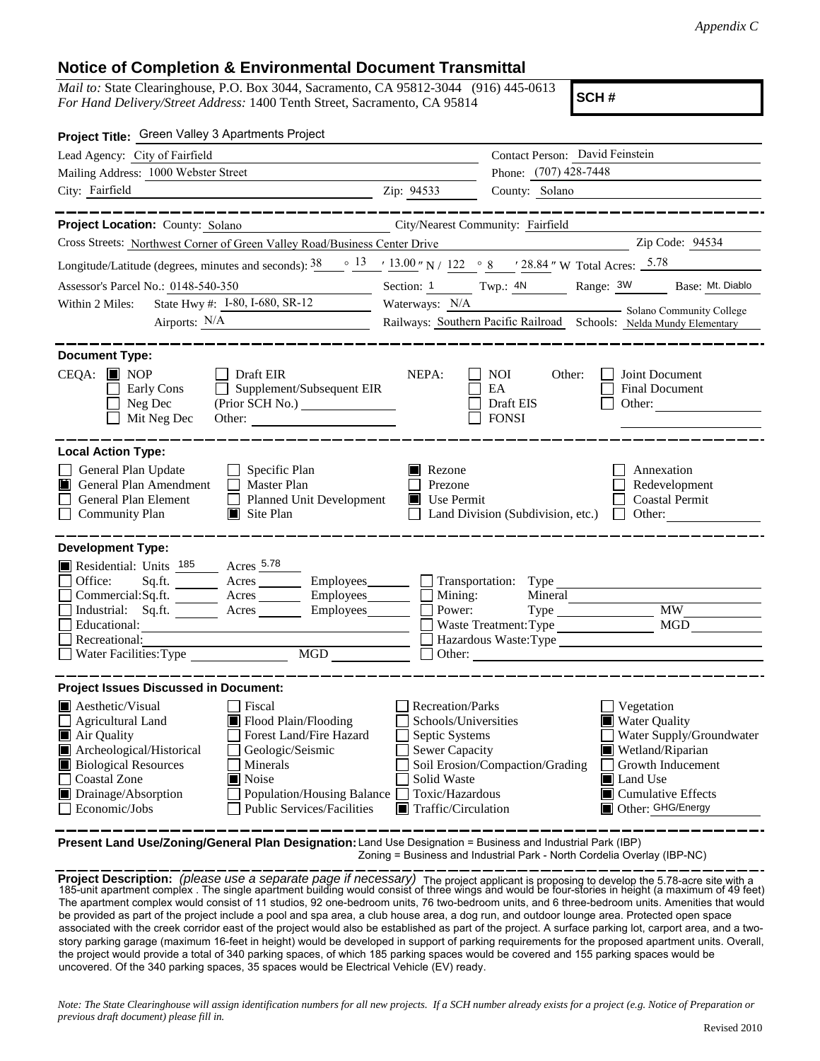## **Notice of Completion & Environmental Document Transmittal**

*Mail to:* State Clearinghouse, P.O. Box 3044, Sacramento, CA 95812-3044 (916) 445-0613 *For Hand Delivery/Street Address:* 1400 Tenth Street, Sacramento, CA 95814

**SCH #**

| <b>Project Title:</b> Green Valley 3 Apartments Project                                                                                                                                                                                                                                                                                                           |                                                                                                                                                             |                                                  |                                                                                                                                                                               |  |  |
|-------------------------------------------------------------------------------------------------------------------------------------------------------------------------------------------------------------------------------------------------------------------------------------------------------------------------------------------------------------------|-------------------------------------------------------------------------------------------------------------------------------------------------------------|--------------------------------------------------|-------------------------------------------------------------------------------------------------------------------------------------------------------------------------------|--|--|
| Lead Agency: City of Fairfield                                                                                                                                                                                                                                                                                                                                    |                                                                                                                                                             | Contact Person: David Feinstein                  |                                                                                                                                                                               |  |  |
| Mailing Address: 1000 Webster Street                                                                                                                                                                                                                                                                                                                              |                                                                                                                                                             | Phone: (707) 428-7448                            |                                                                                                                                                                               |  |  |
| City: Fairfield                                                                                                                                                                                                                                                                                                                                                   | Zip: 94533                                                                                                                                                  | County: Solano                                   |                                                                                                                                                                               |  |  |
| . __ __ __ __ __ __ __ __ __                                                                                                                                                                                                                                                                                                                                      |                                                                                                                                                             |                                                  | ____________                                                                                                                                                                  |  |  |
| Project Location: County: Solano<br>City/Nearest Community: Fairfield                                                                                                                                                                                                                                                                                             |                                                                                                                                                             |                                                  |                                                                                                                                                                               |  |  |
| Cross Streets: Northwest Corner of Green Valley Road/Business Center Drive                                                                                                                                                                                                                                                                                        |                                                                                                                                                             | <u> 1980 - Johann Barbara, martin a</u>          | Zip Code: 94534                                                                                                                                                               |  |  |
| Longitude/Latitude (degrees, minutes and seconds): $38$                                                                                                                                                                                                                                                                                                           |                                                                                                                                                             |                                                  | $\frac{\circ}{13}$ $\frac{13.00 \text{ }}{13.00 \text{ }}$ N / $\frac{122}{122}$ $\frac{\circ}{8}$ $\frac{8}{28.84}$ W Total Acres: $\frac{5.78}{12.5}$                       |  |  |
| Assessor's Parcel No.: 0148-540-350<br>$\mathcal{L}^{\text{max}}_{\text{max}}$ , where $\mathcal{L}^{\text{max}}_{\text{max}}$                                                                                                                                                                                                                                    | Section: 1 Twp.: 4N Range: 3W Base: Mt. Diablo                                                                                                              |                                                  |                                                                                                                                                                               |  |  |
| State Hwy #: I-80, I-680, SR-12<br>Within 2 Miles:                                                                                                                                                                                                                                                                                                                | Waterways: N/A Solano Community College                                                                                                                     |                                                  |                                                                                                                                                                               |  |  |
| Airports: N/A                                                                                                                                                                                                                                                                                                                                                     |                                                                                                                                                             |                                                  | Railways: Southern Pacific Railroad Schools: Nelda Mundy Elementary                                                                                                           |  |  |
| <b>Document Type:</b>                                                                                                                                                                                                                                                                                                                                             |                                                                                                                                                             |                                                  |                                                                                                                                                                               |  |  |
| $CEQA: \blacksquare$ NOP<br>Draft EIR<br>Early Cons<br>$\Box$ Supplement/Subsequent EIR<br>Neg Dec<br>Mit Neg Dec<br>Other:                                                                                                                                                                                                                                       | NEPA:                                                                                                                                                       | NOI<br>Other:<br>EA<br>Draft EIS<br><b>FONSI</b> | Joint Document<br>Final Document<br>Other:                                                                                                                                    |  |  |
| <b>Local Action Type:</b><br>General Plan Update<br>$\Box$ Specific Plan<br>General Plan Amendment<br>$\Box$ Master Plan<br>General Plan Element Planned Unit Development<br>$\Box$ Community Plan<br>$\blacksquare$ Site Plan                                                                                                                                    | Rezone<br>Prezone<br>$\blacksquare$ Use Permit                                                                                                              | Land Division (Subdivision, etc.) $\Box$ Other:  | Annexation<br>Redevelopment<br><b>Coastal Permit</b>                                                                                                                          |  |  |
| <b>Development Type:</b><br>Residential: Units 185 Acres 5.78<br>Office:<br>Sq.ft. ________ Acres _________ Employees _______ __ Transportation: Type<br>Commercial:Sq.ft. _________ Acres __________ Employees________<br>Industrial: Sq.ft. ________ Acres _______<br>Employees_______<br>Educational:<br>Recreational:                                         | Mining:<br>Power:                                                                                                                                           | Mineral<br>Waste Treatment: Type                 | <b>MW</b><br>MGD                                                                                                                                                              |  |  |
| Hazardous Waste:Type<br>$\Box$ Other: $\Box$                                                                                                                                                                                                                                                                                                                      |                                                                                                                                                             |                                                  |                                                                                                                                                                               |  |  |
| <b>Project Issues Discussed in Document:</b>                                                                                                                                                                                                                                                                                                                      |                                                                                                                                                             |                                                  |                                                                                                                                                                               |  |  |
| $\blacksquare$ Aesthetic/Visual<br>  Fiscal<br>Agricultural Land<br>Flood Plain/Flooding<br>Air Quality<br>Forest Land/Fire Hazard<br>Archeological/Historical<br>Geologic/Seismic<br><b>Biological Resources</b><br>Minerals<br>Coastal Zone<br>Noise<br>Drainage/Absorption<br>Population/Housing Balance<br><b>Public Services/Facilities</b><br>Economic/Jobs | Recreation/Parks<br>Schools/Universities<br>Septic Systems<br><b>Sewer Capacity</b><br>Solid Waste<br>Toxic/Hazardous<br>$\blacksquare$ Traffic/Circulation | Soil Erosion/Compaction/Grading                  | Vegetation<br><b>Water Quality</b><br>Water Supply/Groundwater<br>Wetland/Riparian<br>Growth Inducement<br>Land Use<br>$\blacksquare$ Cumulative Effects<br>Other: GHG/Energy |  |  |

**Present Land Use/Zoning/General Plan Designation:** Land Use Designation = Business and Industrial Park (IBP) Zoning = Business and Industrial Park - North Cordelia Overlay (IBP-NC)

**Project Description:** *(please use a separate page if necessary)* The project applicant is proposing to develop the 5.78-acre site with a<br>185-unit apartment complex . The single apartment building would consist of three w The apartment complex would consist of 11 studios, 92 one-bedroom units, 76 two-bedroom units, and 6 three-bedroom units. Amenities that would be provided as part of the project include a pool and spa area, a club house area, a dog run, and outdoor lounge area. Protected open space associated with the creek corridor east of the project would also be established as part of the project. A surface parking lot, carport area, and a twostory parking garage (maximum 16-feet in height) would be developed in support of parking requirements for the proposed apartment units. Overall, the project would provide a total of 340 parking spaces, of which 185 parking spaces would be covered and 155 parking spaces would be uncovered. Of the 340 parking spaces, 35 spaces would be Electrical Vehicle (EV) ready.

*Note: The State Clearinghouse will assign identification numbers for all new projects. If a SCH number already exists for a project (e.g. Notice of Preparation or previous draft document) please fill in.*